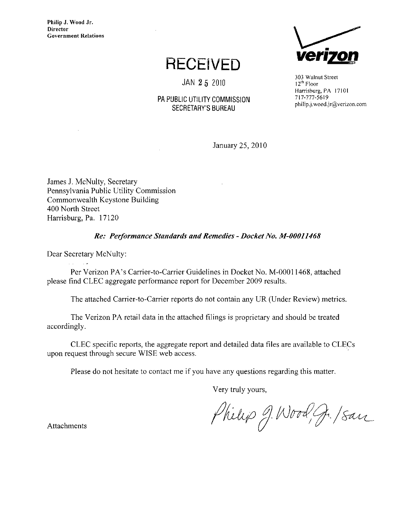Philip J. Wood Jr. **Director** Government Relations

## **RECEIVED**

JAN 2 5 2010

### PA PUBLIC UTILITY COMMISSION SECRETARY'S BUREAU



303 Walnut Street 12<sup>th</sup> Floor Harrisburg, PA 17101 717-777-5619 [philip.J.wood.jr@verizon.com](mailto:philip.J.wood.jr@verizon.com) 

January 25, 2010

James J. McNulty, Secretary Pennsylvania Public Utility Commission Commonwealth Keystone Building 400 North Street Harrisburg, Pa. 17120

#### Re: Performance Standards and Remedies - Docket No. M-00011468

Dear Secretary McNulty:

Per Verizon PA's Carrier-to-Carrier Guidelines in Docket No. M-00011468, attached please find CLEC aggregate performance report for December 2009 results.

The attached Carrier-to-Carrier reports do not contain any UR (Under Review) metrics.

The Verizon PA retail data in the attached filings is proprietary and should be treated accordingly.

CLEC specific reports, the aggregate report and detailed data files are available to CLECs upon request through secure WISE web access.

Please do not hesitate to contact me if you have any questions regarding this matter.

Very truly yours,

Philip J. Wood, J. Isan

Attachments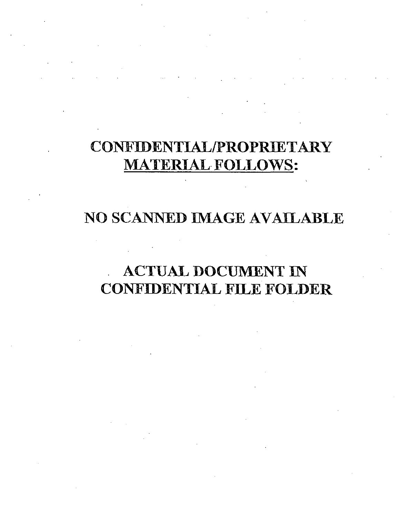# CONFIDENTIAL/PROPRIETARY **MATERIAL FOLLOWS:**

## NO SCANNED IMAGE AVAILABLE

## **ACTUAL DOCUMENT IN CONFIDENTIAL FILE FOLDER**